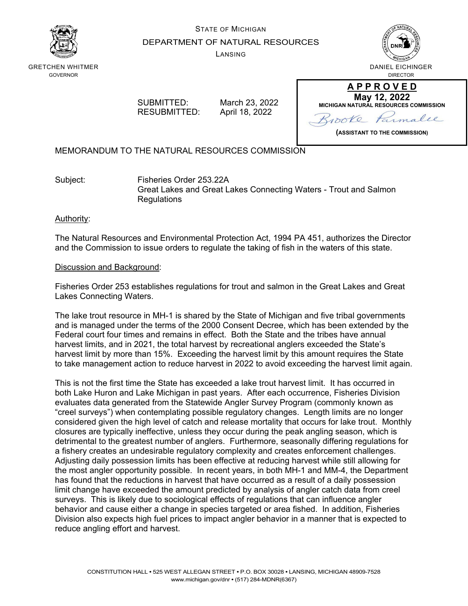

# STATE OF MICHIGAN DEPARTMENT OF NATURAL RESOURCES

LANSING



GRETCHEN WHITMER GOVERNOR

> SUBMITTED: March 23, 2022 RESUBMITTED: April 18, 2022

**May 12, 2022 MICHIGAN NATURAL RESOURCES COMMISSION** Parmalee  $\delta$ 

**(ASSISTANT TO THE COMMISSION)**

**A P P R O V E D**

MEMORANDUM TO THE NATURAL RESOURCES COMMISSION

Subject: Fisheries Order 253.22A Great Lakes and Great Lakes Connecting Waters - Trout and Salmon **Regulations** 

# Authority:

The Natural Resources and Environmental Protection Act, 1994 PA 451, authorizes the Director and the Commission to issue orders to regulate the taking of fish in the waters of this state.

# Discussion and Background:

Fisheries Order 253 establishes regulations for trout and salmon in the Great Lakes and Great Lakes Connecting Waters.

The lake trout resource in MH-1 is shared by the State of Michigan and five tribal governments and is managed under the terms of the 2000 Consent Decree, which has been extended by the Federal court four times and remains in effect. Both the State and the tribes have annual harvest limits, and in 2021, the total harvest by recreational anglers exceeded the State's harvest limit by more than 15%. Exceeding the harvest limit by this amount requires the State to take management action to reduce harvest in 2022 to avoid exceeding the harvest limit again.

This is not the first time the State has exceeded a lake trout harvest limit. It has occurred in both Lake Huron and Lake Michigan in past years. After each occurrence, Fisheries Division evaluates data generated from the Statewide Angler Survey Program (commonly known as "creel surveys") when contemplating possible regulatory changes. Length limits are no longer considered given the high level of catch and release mortality that occurs for lake trout. Monthly closures are typically ineffective, unless they occur during the peak angling season, which is detrimental to the greatest number of anglers. Furthermore, seasonally differing regulations for a fishery creates an undesirable regulatory complexity and creates enforcement challenges. Adjusting daily possession limits has been effective at reducing harvest while still allowing for the most angler opportunity possible. In recent years, in both MH-1 and MM-4, the Department has found that the reductions in harvest that have occurred as a result of a daily possession limit change have exceeded the amount predicted by analysis of angler catch data from creel surveys. This is likely due to sociological effects of regulations that can influence angler behavior and cause either a change in species targeted or area fished. In addition, Fisheries Division also expects high fuel prices to impact angler behavior in a manner that is expected to reduce angling effort and harvest.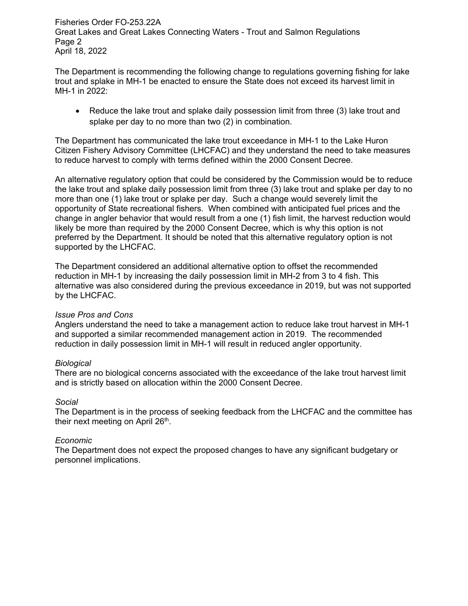Fisheries Order FO-253.22A Great Lakes and Great Lakes Connecting Waters - Trout and Salmon Regulations Page 2 April 18, 2022

The Department is recommending the following change to regulations governing fishing for lake trout and splake in MH-1 be enacted to ensure the State does not exceed its harvest limit in MH-1 in 2022:

• Reduce the lake trout and splake daily possession limit from three (3) lake trout and splake per day to no more than two (2) in combination.

The Department has communicated the lake trout exceedance in MH-1 to the Lake Huron Citizen Fishery Advisory Committee (LHCFAC) and they understand the need to take measures to reduce harvest to comply with terms defined within the 2000 Consent Decree.

An alternative regulatory option that could be considered by the Commission would be to reduce the lake trout and splake daily possession limit from three (3) lake trout and splake per day to no more than one (1) lake trout or splake per day. Such a change would severely limit the opportunity of State recreational fishers. When combined with anticipated fuel prices and the change in angler behavior that would result from a one (1) fish limit, the harvest reduction would likely be more than required by the 2000 Consent Decree, which is why this option is not preferred by the Department. It should be noted that this alternative regulatory option is not supported by the LHCFAC.

The Department considered an additional alternative option to offset the recommended reduction in MH-1 by increasing the daily possession limit in MH-2 from 3 to 4 fish. This alternative was also considered during the previous exceedance in 2019, but was not supported by the LHCFAC.

## *Issue Pros and Cons*

Anglers understand the need to take a management action to reduce lake trout harvest in MH-1 and supported a similar recommended management action in 2019. The recommended reduction in daily possession limit in MH-1 will result in reduced angler opportunity.

## *Biological*

There are no biological concerns associated with the exceedance of the lake trout harvest limit and is strictly based on allocation within the 2000 Consent Decree.

## *Social*

The Department is in the process of seeking feedback from the LHCFAC and the committee has their next meeting on April 26<sup>th</sup>.

# *Economic*

The Department does not expect the proposed changes to have any significant budgetary or personnel implications.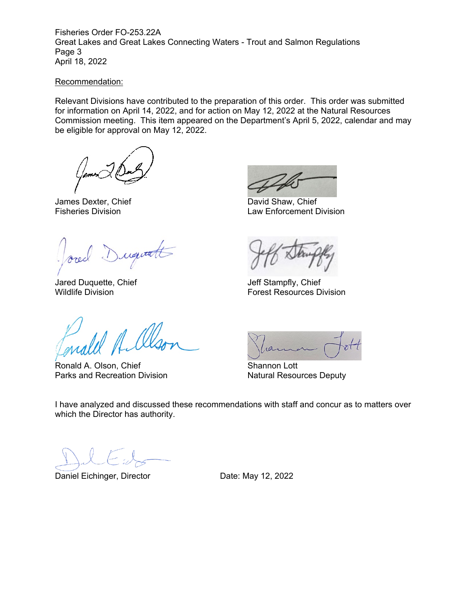Fisheries Order FO-253.22A Great Lakes and Great Lakes Connecting Waters - Trout and Salmon Regulations Page 3 April 18, 2022

#### Recommendation:

Relevant Divisions have contributed to the preparation of this order. This order was submitted for information on April 14, 2022, and for action on May 12, 2022 at the Natural Resources Commission meeting. This item appeared on the Department's April 5, 2022, calendar and may be eligible for approval on May 12, 2022.

James Dexter, Chief David Shaw, Chief

Duquatt

Jared Duquette, Chief **Chief Jeff Stampfly, Chief** 

mald Al

Ronald A. Olson, Chief Shannon Lott<br>
Parks and Recreation Division<br>
Natural Resources Deputy Parks and Recreation Division

Law Enforcement Division

Wildlife Division Forest Resources Division



I have analyzed and discussed these recommendations with staff and concur as to matters over which the Director has authority.

Daniel Eichinger, Director **Date: May 12, 2022**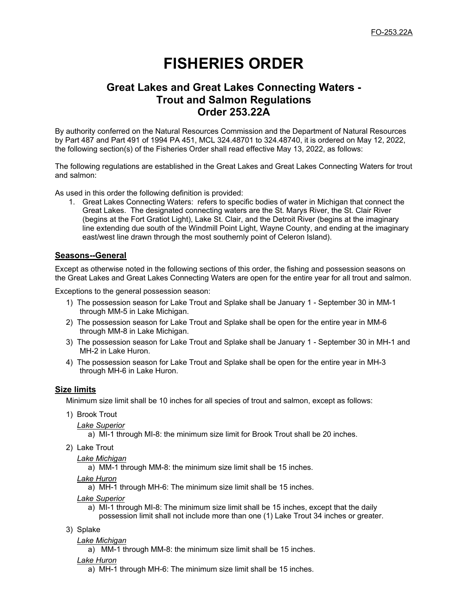# **FISHERIES ORDER**

# **Great Lakes and Great Lakes Connecting Waters - Trout and Salmon Regulations Order 253.22A**

By authority conferred on the Natural Resources Commission and the Department of Natural Resources by Part 487 and Part 491 of 1994 PA 451, MCL 324.48701 to 324.48740, it is ordered on May 12, 2022, the following section(s) of the Fisheries Order shall read effective May 13, 2022, as follows:

The following regulations are established in the Great Lakes and Great Lakes Connecting Waters for trout and salmon:

As used in this order the following definition is provided:

1. Great Lakes Connecting Waters: refers to specific bodies of water in Michigan that connect the Great Lakes. The designated connecting waters are the St. Marys River, the St. Clair River (begins at the Fort Gratiot Light), Lake St. Clair, and the Detroit River (begins at the imaginary line extending due south of the Windmill Point Light, Wayne County, and ending at the imaginary east/west line drawn through the most southernly point of Celeron Island).

# **Seasons--General**

Except as otherwise noted in the following sections of this order, the fishing and possession seasons on the Great Lakes and Great Lakes Connecting Waters are open for the entire year for all trout and salmon.

Exceptions to the general possession season:

- 1) The possession season for Lake Trout and Splake shall be January 1 September 30 in MM-1 through MM-5 in Lake Michigan.
- 2) The possession season for Lake Trout and Splake shall be open for the entire year in MM-6 through MM-8 in Lake Michigan.
- 3) The possession season for Lake Trout and Splake shall be January 1 September 30 in MH-1 and MH-2 in Lake Huron.
- 4) The possession season for Lake Trout and Splake shall be open for the entire year in MH-3 through MH-6 in Lake Huron.

## **Size limits**

Minimum size limit shall be 10 inches for all species of trout and salmon, except as follows:

- 1) Brook Trout
	- *Lake Superior*

a) MI-1 through MI-8: the minimum size limit for Brook Trout shall be 20 inches.

2) Lake Trout

## *Lake Michigan*

a) MM-1 through MM-8: the minimum size limit shall be 15 inches.

*Lake Huron*

a) MH-1 through MH-6: The minimum size limit shall be 15 inches.

#### *Lake Superior*

- a) MI-1 through MI-8: The minimum size limit shall be 15 inches, except that the daily possession limit shall not include more than one (1) Lake Trout 34 inches or greater.
- 3) Splake

#### *Lake Michigan*

a) MM-1 through MM-8: the minimum size limit shall be 15 inches.

#### *Lake Huron*

a) MH-1 through MH-6: The minimum size limit shall be 15 inches.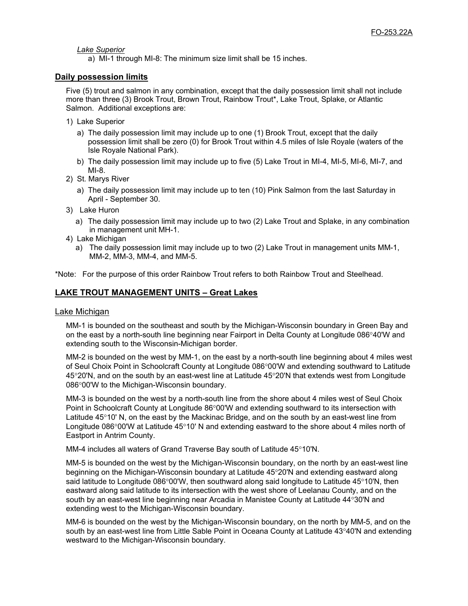*Lake Superior*

a) MI-1 through MI-8: The minimum size limit shall be 15 inches.

## **Daily possession limits**

Five (5) trout and salmon in any combination, except that the daily possession limit shall not include more than three (3) Brook Trout, Brown Trout, Rainbow Trout\*, Lake Trout, Splake, or Atlantic Salmon. Additional exceptions are:

- 1) Lake Superior
	- a) The daily possession limit may include up to one (1) Brook Trout, except that the daily possession limit shall be zero (0) for Brook Trout within 4.5 miles of Isle Royale (waters of the Isle Royale National Park).
	- b) The daily possession limit may include up to five (5) Lake Trout in MI-4, MI-5, MI-6, MI-7, and MI-8.
- 2) St. Marys River
	- a) The daily possession limit may include up to ten (10) Pink Salmon from the last Saturday in April - September 30.
- 3) Lake Huron
	- a) The daily possession limit may include up to two (2) Lake Trout and Splake, in any combination in management unit MH-1.
- 4) Lake Michigan
	- a) The daily possession limit may include up to two (2) Lake Trout in management units MM-1, MM-2, MM-3, MM-4, and MM-5.

\*Note: For the purpose of this order Rainbow Trout refers to both Rainbow Trout and Steelhead.

# **LAKE TROUT MANAGEMENT UNITS – Great Lakes**

#### Lake Michigan

MM-1 is bounded on the southeast and south by the Michigan-Wisconsin boundary in Green Bay and on the east by a north-south line beginning near Fairport in Delta County at Longitude 086°40'W and extending south to the Wisconsin-Michigan border.

MM-2 is bounded on the west by MM-1, on the east by a north-south line beginning about 4 miles west of Seul Choix Point in Schoolcraft County at Longitude 086°00'W and extending southward to Latitude 45°20'N, and on the south by an east-west line at Latitude 45°20'N that extends west from Longitude 086°00'W to the Michigan-Wisconsin boundary.

MM-3 is bounded on the west by a north-south line from the shore about 4 miles west of Seul Choix Point in Schoolcraft County at Longitude 86°00'W and extending southward to its intersection with Latitude 45°10' N, on the east by the Mackinac Bridge, and on the south by an east-west line from Longitude 086°00'W at Latitude 45°10' N and extending eastward to the shore about 4 miles north of Eastport in Antrim County.

MM-4 includes all waters of Grand Traverse Bay south of Latitude 45°10'N.

MM-5 is bounded on the west by the Michigan-Wisconsin boundary, on the north by an east-west line beginning on the Michigan-Wisconsin boundary at Latitude 45°20'N and extending eastward along said latitude to Longitude 086°00'W, then southward along said longitude to Latitude 45°10'N, then eastward along said latitude to its intersection with the west shore of Leelanau County, and on the south by an east-west line beginning near Arcadia in Manistee County at Latitude 44°30'N and extending west to the Michigan-Wisconsin boundary.

MM-6 is bounded on the west by the Michigan-Wisconsin boundary, on the north by MM-5, and on the south by an east-west line from Little Sable Point in Oceana County at Latitude 43°40'N and extending westward to the Michigan-Wisconsin boundary.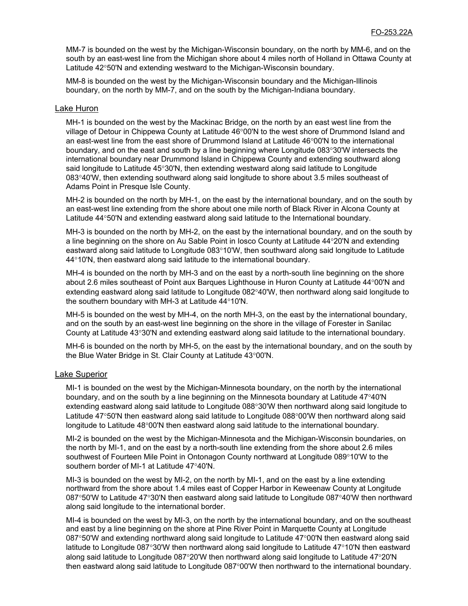MM-7 is bounded on the west by the Michigan-Wisconsin boundary, on the north by MM-6, and on the south by an east-west line from the Michigan shore about 4 miles north of Holland in Ottawa County at Latitude 42°50'N and extending westward to the Michigan-Wisconsin boundary.

MM-8 is bounded on the west by the Michigan-Wisconsin boundary and the Michigan-Illinois boundary, on the north by MM-7, and on the south by the Michigan-Indiana boundary.

#### Lake Huron

MH-1 is bounded on the west by the Mackinac Bridge, on the north by an east west line from the village of Detour in Chippewa County at Latitude 46°00'N to the west shore of Drummond Island and an east-west line from the east shore of Drummond Island at Latitude 46°00'N to the international boundary, and on the east and south by a line beginning where Longitude 083°30'W intersects the international boundary near Drummond Island in Chippewa County and extending southward along said longitude to Latitude 45°30'N, then extending westward along said latitude to Longitude 083°40'W, then extending southward along said longitude to shore about 3.5 miles southeast of Adams Point in Presque Isle County.

MH-2 is bounded on the north by MH-1, on the east by the international boundary, and on the south by an east-west line extending from the shore about one mile north of Black River in Alcona County at Latitude 44°50'N and extending eastward along said latitude to the International boundary.

MH-3 is bounded on the north by MH-2, on the east by the international boundary, and on the south by a line beginning on the shore on Au Sable Point in Iosco County at Latitude 44°20'N and extending eastward along said latitude to Longitude 083°10'W, then southward along said longitude to Latitude 44°10'N, then eastward along said latitude to the international boundary.

MH-4 is bounded on the north by MH-3 and on the east by a north-south line beginning on the shore about 2.6 miles southeast of Point aux Barques Lighthouse in Huron County at Latitude 44°00'N and extending eastward along said latitude to Longitude 082°40'W, then northward along said longitude to the southern boundary with MH-3 at Latitude 44°10'N.

MH-5 is bounded on the west by MH-4, on the north MH-3, on the east by the international boundary, and on the south by an east-west line beginning on the shore in the village of Forester in Sanilac County at Latitude 43°30'N and extending eastward along said latitude to the international boundary.

MH-6 is bounded on the north by MH-5, on the east by the international boundary, and on the south by the Blue Water Bridge in St. Clair County at Latitude 43°00'N.

#### **Lake Superior**

MI-1 is bounded on the west by the Michigan-Minnesota boundary, on the north by the international boundary, and on the south by a line beginning on the Minnesota boundary at Latitude 47°40'N extending eastward along said latitude to Longitude 088°30'W then northward along said longitude to Latitude 47°50'N then eastward along said latitude to Longitude 088°00'W then northward along said longitude to Latitude 48°00'N then eastward along said latitude to the international boundary.

MI-2 is bounded on the west by the Michigan-Minnesota and the Michigan-Wisconsin boundaries, on the north by MI-1, and on the east by a north-south line extending from the shore about 2.6 miles southwest of Fourteen Mile Point in Ontonagon County northward at Longitude 089°10'W to the southern border of MI-1 at Latitude 47°40'N.

MI-3 is bounded on the west by MI-2, on the north by MI-1, and on the east by a line extending northward from the shore about 1.4 miles east of Copper Harbor in Keweenaw County at Longitude 087°50'W to Latitude 47°30'N then eastward along said latitude to Longitude 087°40'W then northward along said longitude to the international border.

MI-4 is bounded on the west by MI-3, on the north by the international boundary, and on the southeast and east by a line beginning on the shore at Pine River Point in Marquette County at Longitude 087°50'W and extending northward along said longitude to Latitude 47°00'N then eastward along said latitude to Longitude 087°30'W then northward along said longitude to Latitude 47°10'N then eastward along said latitude to Longitude 087°20'W then northward along said longitude to Latitude 47°20'N then eastward along said latitude to Longitude 087°00'W then northward to the international boundary.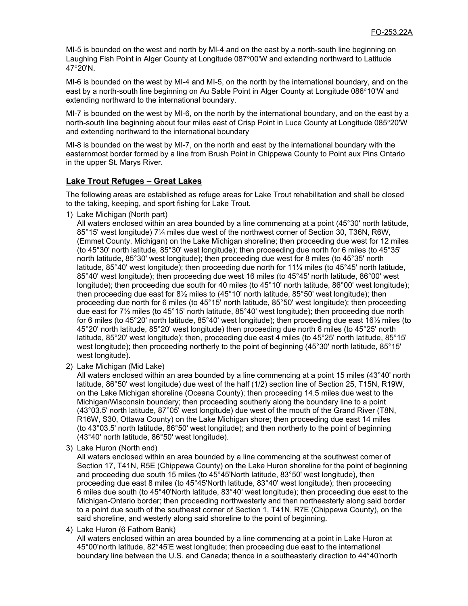MI-5 is bounded on the west and north by MI-4 and on the east by a north-south line beginning on Laughing Fish Point in Alger County at Longitude 087°00'W and extending northward to Latitude 47°20'N.

MI-6 is bounded on the west by MI-4 and MI-5, on the north by the international boundary, and on the east by a north-south line beginning on Au Sable Point in Alger County at Longitude 086°10'W and extending northward to the international boundary.

MI-7 is bounded on the west by MI-6, on the north by the international boundary, and on the east by a north-south line beginning about four miles east of Crisp Point in Luce County at Longitude 085°20'W and extending northward to the international boundary

MI-8 is bounded on the west by MI-7, on the north and east by the international boundary with the easternmost border formed by a line from Brush Point in Chippewa County to Point aux Pins Ontario in the upper St. Marys River.

## **Lake Trout Refuges – Great Lakes**

The following areas are established as refuge areas for Lake Trout rehabilitation and shall be closed to the taking, keeping, and sport fishing for Lake Trout.

1) Lake Michigan (North part)

All waters enclosed within an area bounded by a line commencing at a point (45°30' north latitude, 85°15' west longitude) 7¼ miles due west of the northwest corner of Section 30, T36N, R6W, (Emmet County, Michigan) on the Lake Michigan shoreline; then proceeding due west for 12 miles (to 45°30' north latitude, 85°30' west longitude); then proceeding due north for 6 miles (to 45°35' north latitude, 85°30' west longitude); then proceeding due west for 8 miles (to 45°35' north latitude, 85°40' west longitude); then proceeding due north for 11¼ miles (to 45°45' north latitude, 85°40' west longitude); then proceeding due west 16 miles (to 45°45' north latitude, 86°00' west longitude); then proceeding due south for 40 miles (to 45°10' north latitude, 86°00' west longitude); then proceeding due east for 8½ miles to (45°10' north latitude, 85°50' west longitude); then proceeding due north for 6 miles (to 45°15' north latitude, 85°50' west longitude); then proceeding due east for 7½ miles (to 45°15' north latitude, 85°40' west longitude); then proceeding due north for 6 miles (to 45°20' north latitude, 85°40' west longitude); then proceeding due east 16½ miles (to 45°20' north latitude, 85°20' west longitude) then proceeding due north 6 miles (to 45°25' north latitude, 85°20' west longitude); then, proceeding due east 4 miles (to 45°25' north latitude, 85°15' west longitude); then proceeding northerly to the point of beginning (45°30' north latitude, 85°15' west longitude).

2) Lake Michigan (Mid Lake)

All waters enclosed within an area bounded by a line commencing at a point 15 miles (43°40' north latitude, 86°50' west longitude) due west of the half (1/2) section line of Section 25, T15N, R19W, on the Lake Michigan shoreline (Oceana County); then proceeding 14.5 miles due west to the Michigan/Wisconsin boundary; then proceeding southerly along the boundary line to a point (43°03.5' north latitude, 87°05' west longitude) due west of the mouth of the Grand River (T8N, R16W, S30, Ottawa County) on the Lake Michigan shore; then proceeding due east 14 miles (to 43°03.5' north latitude, 86°50' west longitude); and then northerly to the point of beginning (43°40' north latitude, 86°50' west longitude).

3) Lake Huron (North end)

All waters enclosed within an area bounded by a line commencing at the southwest corner of Section 17, T41N, R5E (Chippewa County) on the Lake Huron shoreline for the point of beginning and proceeding due south 15 miles (to 45°45'North latitude, 83°50' west longitude), then proceeding due east 8 miles (to 45°45'North latitude, 83°40' west longitude); then proceeding 6 miles due south (to 45°40'North latitude, 83°40' west longitude); then proceeding due east to the Michigan-Ontario border; then proceeding northwesterly and then northeasterly along said border to a point due south of the southeast corner of Section 1, T41N, R7E (Chippewa County), on the said shoreline, and westerly along said shoreline to the point of beginning.

4) Lake Huron (6 Fathom Bank)

All waters enclosed within an area bounded by a line commencing at a point in Lake Huron at 45°00'north latitude, 82°45'E west longitude; then proceeding due east to the international boundary line between the U.S. and Canada; thence in a southeasterly direction to 44°40'north